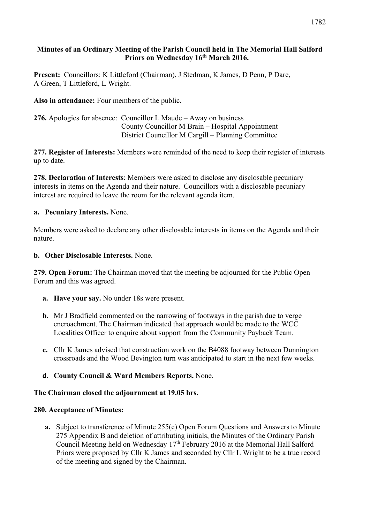# **Minutes of an Ordinary Meeting of the Parish Council held in The Memorial Hall Salford Priors on Wednesday 16th March 2016.**

**Present:** Councillors: K Littleford (Chairman), J Stedman, K James, D Penn, P Dare, A Green, T Littleford, L Wright.

**Also in attendance:** Four members of the public.

| 276. Apologies for absence: Councillor L Maude $-$ Away on business |
|---------------------------------------------------------------------|
| County Councillor M Brain – Hospital Appointment                    |
| District Councillor M Cargill – Planning Committee                  |

**277. Register of Interests:** Members were reminded of the need to keep their register of interests up to date.

**278. Declaration of Interests**: Members were asked to disclose any disclosable pecuniary interests in items on the Agenda and their nature. Councillors with a disclosable pecuniary interest are required to leave the room for the relevant agenda item.

#### **a. Pecuniary Interests.** None.

Members were asked to declare any other disclosable interests in items on the Agenda and their nature.

#### **b. Other Disclosable Interests.** None.

**279. Open Forum:** The Chairman moved that the meeting be adjourned for the Public Open Forum and this was agreed.

- **a. Have your say.** No under 18s were present.
- **b.** Mr J Bradfield commented on the narrowing of footways in the parish due to verge encroachment. The Chairman indicated that approach would be made to the WCC Localities Officer to enquire about support from the Community Payback Team.
- **c.** Cllr K James advised that construction work on the B4088 footway between Dunnington crossroads and the Wood Bevington turn was anticipated to start in the next few weeks.
- **d. County Council & Ward Members Reports.** None.

# **The Chairman closed the adjournment at 19.05 hrs.**

# **280. Acceptance of Minutes:**

**a.** Subject to transference of Minute 255(c) Open Forum Questions and Answers to Minute 275 Appendix B and deletion of attributing initials, the Minutes of the Ordinary Parish Council Meeting held on Wednesday 17th February 2016 at the Memorial Hall Salford Priors were proposed by Cllr K James and seconded by Cllr L Wright to be a true record of the meeting and signed by the Chairman.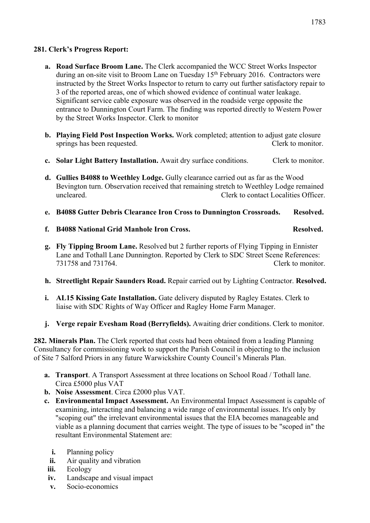# **281. Clerk's Progress Report:**

- **a. Road Surface Broom Lane.** The Clerk accompanied the WCC Street Works Inspector during an on-site visit to Broom Lane on Tuesday 15<sup>th</sup> February 2016. Contractors were instructed by the Street Works Inspector to return to carry out further satisfactory repair to 3 of the reported areas, one of which showed evidence of continual water leakage. Significant service cable exposure was observed in the roadside verge opposite the entrance to Dunnington Court Farm. The finding was reported directly to Western Power by the Street Works Inspector. Clerk to monitor
- **b. Playing Field Post Inspection Works.** Work completed; attention to adjust gate closure springs has been requested. Clerk to monitor.
- **c. Solar Light Battery Installation.** Await dry surface conditions. Clerk to monitor.
- **d. Gullies B4088 to Weethley Lodge.** Gully clearance carried out as far as the Wood Bevington turn. Observation received that remaining stretch to Weethley Lodge remained uncleared. Clerk to contact Localities Officer.
- **e. B4088 Gutter Debris Clearance Iron Cross to Dunnington Crossroads. Resolved.**
- **f. B4088 National Grid Manhole Iron Cross. Resolved.**
- **g. Fly Tipping Broom Lane.** Resolved but 2 further reports of Flying Tipping in Ennister Lane and Tothall Lane Dunnington. Reported by Clerk to SDC Street Scene References: 731758 and 731764. Clerk to monitor.
- **h. Streetlight Repair Saunders Road.** Repair carried out by Lighting Contractor. **Resolved.**
- **i. AL15 Kissing Gate Installation.** Gate delivery disputed by Ragley Estates. Clerk to liaise with SDC Rights of Way Officer and Ragley Home Farm Manager.
- **j. Verge repair Evesham Road (Berryfields).** Awaiting drier conditions. Clerk to monitor.

**282. Minerals Plan.** The Clerk reported that costs had been obtained from a leading Planning Consultancy for commissioning work to support the Parish Council in objecting to the inclusion of Site 7 Salford Priors in any future Warwickshire County Council's Minerals Plan.

- **a. Transport**. A Transport Assessment at three locations on School Road / Tothall lane. Circa £5000 plus VAT
- **b. Noise Assessment**. Circa £2000 plus VAT.
- **c. Environmental Impact Assessment.** An Environmental Impact Assessment is capable of examining, interacting and balancing a wide range of environmental issues. It's only by "scoping out" the irrelevant environmental issues that the EIA becomes manageable and viable as a planning document that carries weight. The type of issues to be "scoped in" the resultant Environmental Statement are:
	- **i.** Planning policy
	- **ii.** Air quality and vibration
- **iii.** Ecology
- **iv.** Landscape and visual impact
- **v.** Socio-economics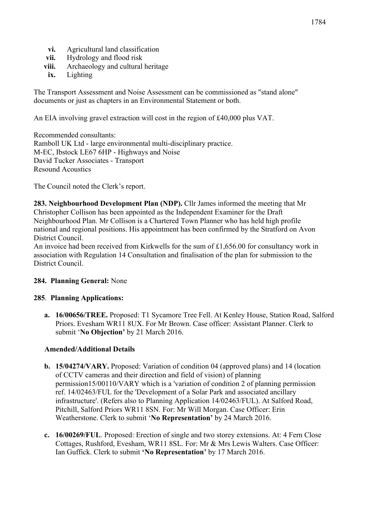- **vi.** Agricultural land classification
- **vii.** Hydrology and flood risk
- **viii.** Archaeology and cultural heritage
- **ix.** Lighting

The Transport Assessment and Noise Assessment can be commissioned as "stand alone" documents or just as chapters in an Environmental Statement or both.

An EIA involving gravel extraction will cost in the region of £40,000 plus VAT.

Recommended consultants: Ramboll UK Ltd - large environmental multi-disciplinary practice. M-EC, Ibstock LE67 6HP - Highways and Noise David Tucker Associates - Transport Resound Acoustics

The Council noted the Clerk's report.

**283. Neighbourhood Development Plan (NDP).** Cllr James informed the meeting that Mr Christopher Collison has been appointed as the Independent Examiner for the Draft Neighbourhood Plan. Mr Collison is a Chartered Town Planner who has held high profile national and regional positions. His appointment has been confirmed by the Stratford on Avon District Council.

An invoice had been received from Kirkwells for the sum of £1,656.00 for consultancy work in association with Regulation 14 Consultation and finalisation of the plan for submission to the District Council.

# **284. Planning General:** None

# **285**. **Planning Applications:**

**a. 16/00656/TREE.** Proposed: T1 Sycamore Tree Fell. At Kenley House, Station Road, Salford Priors. Evesham WR11 8UX. For Mr Brown. Case officer: Assistant Planner. Clerk to submit '**No Objection'** by 21 March 2016.

# **Amended/Additional Details**

- **b. 15/04274/VARY.** Proposed: Variation of condition 04 (approved plans) and 14 (location of CCTV cameras and their direction and field of vision) of planning permission15/00110/VARY which is a 'variation of condition 2 of planning permission ref. 14/02463/FUL for the 'Development of a Solar Park and associated ancillary infrastructure'. (Refers also to Planning Application 14/02463/FUL). At Salford Road, Pitchill, Salford Priors WR11 8SN. For: Mr Will Morgan. Case Officer: Erin Weatherstone. Clerk to submit '**No Representation'** by 24 March 2016.
- **c. 16/00269/FUL**. Proposed: Erection of single and two storey extensions. At: 4 Fern Close Cottages, Rushford, Evesham, WR11 8SL. For: Mr & Mrs Lewis Walters. Case Officer: Ian Guffick. Clerk to submit **'No Representation'** by 17 March 2016.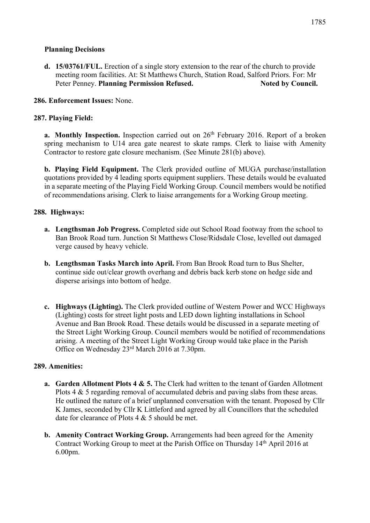#### **Planning Decisions**

**d. 15/03761/FUL.** Erection of a single story extension to the rear of the church to provide meeting room facilities. At: St Matthews Church, Station Road, Salford Priors. For: Mr Peter Penney. **Planning Permission Refused.** Noted by Council.

#### **286. Enforcement Issues:** None.

#### **287. Playing Field:**

**a.** Monthly Inspection. Inspection carried out on 26<sup>th</sup> February 2016. Report of a broken spring mechanism to U14 area gate nearest to skate ramps. Clerk to liaise with Amenity Contractor to restore gate closure mechanism. (See Minute 281(b) above).

**b. Playing Field Equipment.** The Clerk provided outline of MUGA purchase/installation quotations provided by 4 leading sports equipment suppliers. These details would be evaluated in a separate meeting of the Playing Field Working Group. Council members would be notified of recommendations arising. Clerk to liaise arrangements for a Working Group meeting.

#### **288. Highways:**

- **a. Lengthsman Job Progress.** Completed side out School Road footway from the school to Ban Brook Road turn. Junction St Matthews Close/Ridsdale Close, levelled out damaged verge caused by heavy vehicle.
- **b. Lengthsman Tasks March into April.** From Ban Brook Road turn to Bus Shelter, continue side out/clear growth overhang and debris back kerb stone on hedge side and disperse arisings into bottom of hedge.
- **c. Highways (Lighting).** The Clerk provided outline of Western Power and WCC Highways (Lighting) costs for street light posts and LED down lighting installations in School Avenue and Ban Brook Road. These details would be discussed in a separate meeting of the Street Light Working Group. Council members would be notified of recommendations arising. A meeting of the Street Light Working Group would take place in the Parish Office on Wednesday 23rd March 2016 at 7.30pm.

#### **289. Amenities:**

- **a. Garden Allotment Plots 4 & 5.** The Clerk had written to the tenant of Garden Allotment Plots 4 & 5 regarding removal of accumulated debris and paving slabs from these areas. He outlined the nature of a brief unplanned conversation with the tenant. Proposed by Cllr K James, seconded by Cllr K Littleford and agreed by all Councillors that the scheduled date for clearance of Plots 4 & 5 should be met.
- **b. Amenity Contract Working Group.** Arrangements had been agreed for the Amenity Contract Working Group to meet at the Parish Office on Thursday 14th April 2016 at 6.00pm.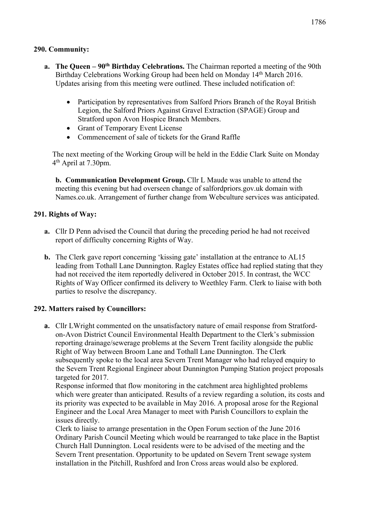# **290. Community:**

- **a. The Queen – 90th Birthday Celebrations.** The Chairman reported a meeting of the 90th Birthday Celebrations Working Group had been held on Monday 14<sup>th</sup> March 2016. Updates arising from this meeting were outlined. These included notification of:
	- Participation by representatives from Salford Priors Branch of the Royal British Legion, the Salford Priors Against Gravel Extraction (SPAGE) Group and Stratford upon Avon Hospice Branch Members.
	- Grant of Temporary Event License
	- Commencement of sale of tickets for the Grand Raffle

 The next meeting of the Working Group will be held in the Eddie Clark Suite on Monday 4th April at 7.30pm.

**b. Communication Development Group.** Cllr L Maude was unable to attend the meeting this evening but had overseen change of salfordpriors.gov.uk domain with Names.co.uk. Arrangement of further change from Webculture services was anticipated.

# **291. Rights of Way:**

- **a.** Cllr D Penn advised the Council that during the preceding period he had not received report of difficulty concerning Rights of Way.
- **b.** The Clerk gave report concerning 'kissing gate' installation at the entrance to AL15 leading from Tothall Lane Dunnington. Ragley Estates office had replied stating that they had not received the item reportedly delivered in October 2015. In contrast, the WCC Rights of Way Officer confirmed its delivery to Weethley Farm. Clerk to liaise with both parties to resolve the discrepancy.

# **292. Matters raised by Councillors:**

**a.** Cllr LWright commented on the unsatisfactory nature of email response from Stratfordon-Avon District Council Environmental Health Department to the Clerk's submission reporting drainage/sewerage problems at the Severn Trent facility alongside the public Right of Way between Broom Lane and Tothall Lane Dunnington. The Clerk subsequently spoke to the local area Severn Trent Manager who had relayed enquiry to the Severn Trent Regional Engineer about Dunnington Pumping Station project proposals targeted for 2017.

Response informed that flow monitoring in the catchment area highlighted problems which were greater than anticipated. Results of a review regarding a solution, its costs and its priority was expected to be available in May 2016. A proposal arose for the Regional Engineer and the Local Area Manager to meet with Parish Councillors to explain the issues directly.

Clerk to liaise to arrange presentation in the Open Forum section of the June 2016 Ordinary Parish Council Meeting which would be rearranged to take place in the Baptist Church Hall Dunnington. Local residents were to be advised of the meeting and the Severn Trent presentation. Opportunity to be updated on Severn Trent sewage system installation in the Pitchill, Rushford and Iron Cross areas would also be explored.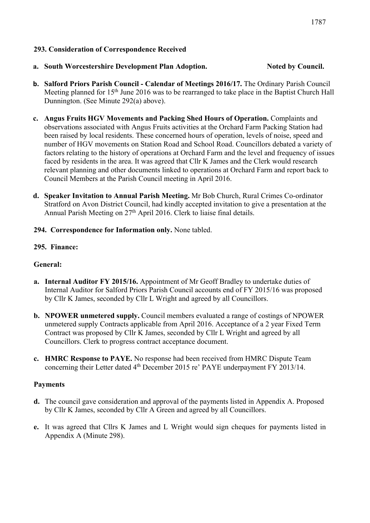# **293. Consideration of Correspondence Received**

# **a.** South Worcestershire Development Plan Adoption. Noted by Council.

- **b. Salford Priors Parish Council - Calendar of Meetings 2016/17.** The Ordinary Parish Council Meeting planned for 15<sup>th</sup> June 2016 was to be rearranged to take place in the Baptist Church Hall Dunnington. (See Minute 292(a) above).
- **c. Angus Fruits HGV Movements and Packing Shed Hours of Operation.** Complaints and observations associated with Angus Fruits activities at the Orchard Farm Packing Station had been raised by local residents. These concerned hours of operation, levels of noise, speed and number of HGV movements on Station Road and School Road. Councillors debated a variety of factors relating to the history of operations at Orchard Farm and the level and frequency of issues faced by residents in the area. It was agreed that Cllr K James and the Clerk would research relevant planning and other documents linked to operations at Orchard Farm and report back to Council Members at the Parish Council meeting in April 2016.
- **d. Speaker Invitation to Annual Parish Meeting.** Mr Bob Church, Rural Crimes Co-ordinator Stratford on Avon District Council, had kindly accepted invitation to give a presentation at the Annual Parish Meeting on 27<sup>th</sup> April 2016. Clerk to liaise final details.

# **294. Correspondence for Information only.** None tabled.

# **295. Finance:**

# **General:**

- **a. Internal Auditor FY 2015/16.** Appointment of Mr Geoff Bradley to undertake duties of Internal Auditor for Salford Priors Parish Council accounts end of FY 2015/16 was proposed by Cllr K James, seconded by Cllr L Wright and agreed by all Councillors.
- **b. NPOWER unmetered supply.** Council members evaluated a range of costings of NPOWER unmetered supply Contracts applicable from April 2016. Acceptance of a 2 year Fixed Term Contract was proposed by Cllr K James, seconded by Cllr L Wright and agreed by all Councillors. Clerk to progress contract acceptance document.
- **c. HMRC Response to PAYE.** No response had been received from HMRC Dispute Team concerning their Letter dated 4<sup>th</sup> December 2015 re' PAYE underpayment FY 2013/14.

# **Payments**

- **d.** The council gave consideration and approval of the payments listed in Appendix A. Proposed by Cllr K James, seconded by Cllr A Green and agreed by all Councillors.
- **e.** It was agreed that Cllrs K James and L Wright would sign cheques for payments listed in Appendix A (Minute 298).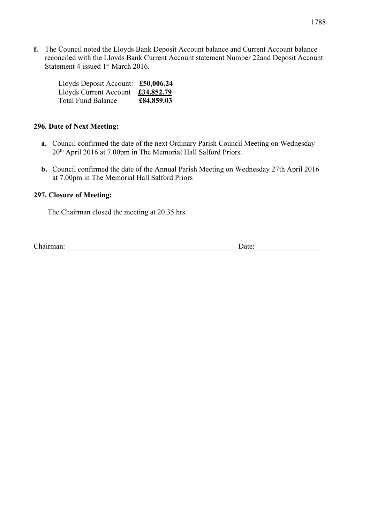**f.** The Council noted the Lloyds Bank Deposit Account balance and Current Account balance reconciled with the Lloyds Bank Current Account statement Number 22and Deposit Account Statement 4 issued 1<sup>st</sup> March 2016.

| Lloyds Deposit Account: £50,006.24 |            |
|------------------------------------|------------|
| Lloyds Current Account             | £34,852.79 |
| <b>Total Fund Balance</b>          | £84,859.03 |

#### **296. Date of Next Meeting:**

- **a.** Council confirmed the date of the next Ordinary Parish Council Meeting on Wednesday 20th April 2016 at 7.00pm in The Memorial Hall Salford Priors.
- **b.** Council confirmed the date of the Annual Parish Meeting on Wednesday 27th April 2016 at 7.00pm in The Memorial Hall Salford Priors

# **297. Closure of Meeting:**

The Chairman closed the meeting at 20.35 hrs.

Chairman: **Example 20** Chairman: **Example 20** Chairman: **Example 20** Chairman: **Example 20** Chairman: **Example 20** Chairman: **Example 20** Chairman: **Example 20** Chairman: **Example 20** Chairman: **Example 20** Chairman: **Exam**